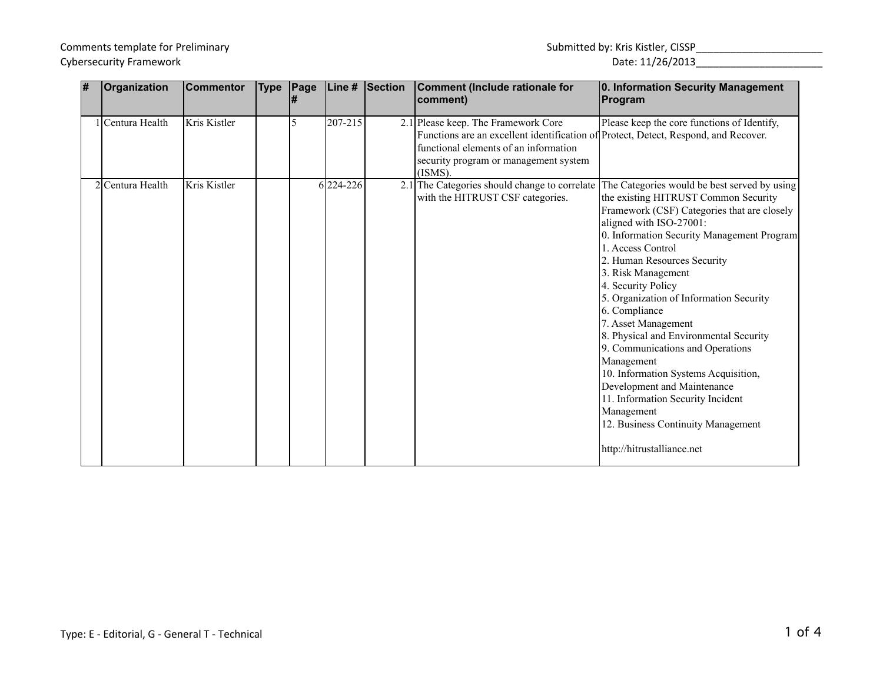| l# | Organization     | <b>Commentor</b> | <b>Type</b> | Page | Line #    | Section | Comment (Include rationale for<br> comment)                                                                                                                                                                                | 0. Information Security Management<br>Program                                                                                                                                                                                                                                                                                                                                                                                                                                                                                                                                                                                                                                             |
|----|------------------|------------------|-------------|------|-----------|---------|----------------------------------------------------------------------------------------------------------------------------------------------------------------------------------------------------------------------------|-------------------------------------------------------------------------------------------------------------------------------------------------------------------------------------------------------------------------------------------------------------------------------------------------------------------------------------------------------------------------------------------------------------------------------------------------------------------------------------------------------------------------------------------------------------------------------------------------------------------------------------------------------------------------------------------|
|    | Centura Health   | Kris Kistler     |             | 5    | 207-215   |         | 2.1 Please keep. The Framework Core<br>Functions are an excellent identification of Protect, Detect, Respond, and Recover.<br>functional elements of an information<br>security program or management system<br>$(ISMS)$ . | Please keep the core functions of Identify,                                                                                                                                                                                                                                                                                                                                                                                                                                                                                                                                                                                                                                               |
|    | 2 Centura Health | Kris Kistler     |             |      | 6 224-226 |         | 2.1 The Categories should change to correlate<br>with the HITRUST CSF categories.                                                                                                                                          | The Categories would be best served by using<br>the existing HITRUST Common Security<br>Framework (CSF) Categories that are closely<br>aligned with ISO-27001:<br>0. Information Security Management Program<br>1. Access Control<br>2. Human Resources Security<br>3. Risk Management<br>4. Security Policy<br>5. Organization of Information Security<br>6. Compliance<br>7. Asset Management<br>8. Physical and Environmental Security<br>9. Communications and Operations<br>Management<br>10. Information Systems Acquisition,<br>Development and Maintenance<br>11. Information Security Incident<br>Management<br>12. Business Continuity Management<br>http://hitrustalliance.net |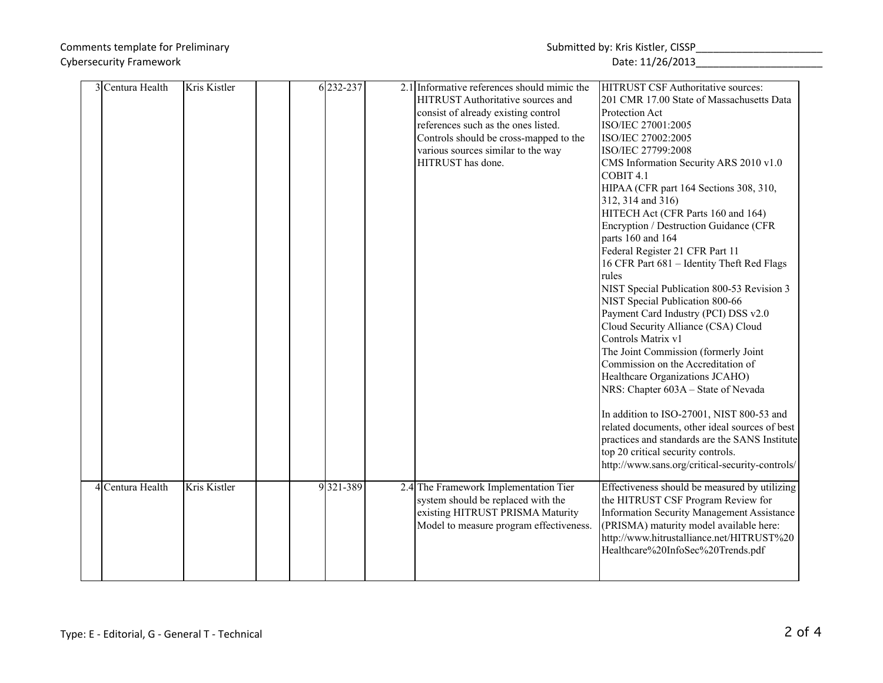| 3 Centura Health | Kris Kistler | 6 232-237 | 2.1 Informative references should mimic the | HITRUST CSF Authoritative sources:              |
|------------------|--------------|-----------|---------------------------------------------|-------------------------------------------------|
|                  |              |           | HITRUST Authoritative sources and           | 201 CMR 17.00 State of Massachusetts Data       |
|                  |              |           | consist of already existing control         | Protection Act                                  |
|                  |              |           | references such as the ones listed.         | ISO/IEC 27001:2005                              |
|                  |              |           | Controls should be cross-mapped to the      | ISO/IEC 27002:2005                              |
|                  |              |           | various sources similar to the way          | ISO/IEC 27799:2008                              |
|                  |              |           | HITRUST has done.                           | CMS Information Security ARS 2010 v1.0          |
|                  |              |           |                                             | COBIT <sub>4.1</sub>                            |
|                  |              |           |                                             | HIPAA (CFR part 164 Sections 308, 310,          |
|                  |              |           |                                             | 312, 314 and 316)                               |
|                  |              |           |                                             | HITECH Act (CFR Parts 160 and 164)              |
|                  |              |           |                                             | Encryption / Destruction Guidance (CFR          |
|                  |              |           |                                             | parts 160 and 164                               |
|                  |              |           |                                             | Federal Register 21 CFR Part 11                 |
|                  |              |           |                                             | 16 CFR Part 681 - Identity Theft Red Flags      |
|                  |              |           |                                             | rules                                           |
|                  |              |           |                                             | NIST Special Publication 800-53 Revision 3      |
|                  |              |           |                                             | NIST Special Publication 800-66                 |
|                  |              |           |                                             | Payment Card Industry (PCI) DSS v2.0            |
|                  |              |           |                                             | Cloud Security Alliance (CSA) Cloud             |
|                  |              |           |                                             | Controls Matrix v1                              |
|                  |              |           |                                             | The Joint Commission (formerly Joint            |
|                  |              |           |                                             | Commission on the Accreditation of              |
|                  |              |           |                                             | Healthcare Organizations JCAHO)                 |
|                  |              |           |                                             | NRS: Chapter 603A - State of Nevada             |
|                  |              |           |                                             | In addition to ISO-27001, NIST 800-53 and       |
|                  |              |           |                                             | related documents, other ideal sources of best  |
|                  |              |           |                                             | practices and standards are the SANS Institute  |
|                  |              |           |                                             | top 20 critical security controls.              |
|                  |              |           |                                             | http://www.sans.org/critical-security-controls/ |
|                  |              |           |                                             |                                                 |
| 4 Centura Health | Kris Kistler | 9321-389  | 2.4 The Framework Implementation Tier       | Effectiveness should be measured by utilizing   |
|                  |              |           | system should be replaced with the          | the HITRUST CSF Program Review for              |
|                  |              |           | existing HITRUST PRISMA Maturity            | Information Security Management Assistance      |
|                  |              |           | Model to measure program effectiveness.     | (PRISMA) maturity model available here:         |
|                  |              |           |                                             | http://www.hitrustalliance.net/HITRUST%20       |
|                  |              |           |                                             | Healthcare%20InfoSec%20Trends.pdf               |
|                  |              |           |                                             |                                                 |
|                  |              |           |                                             |                                                 |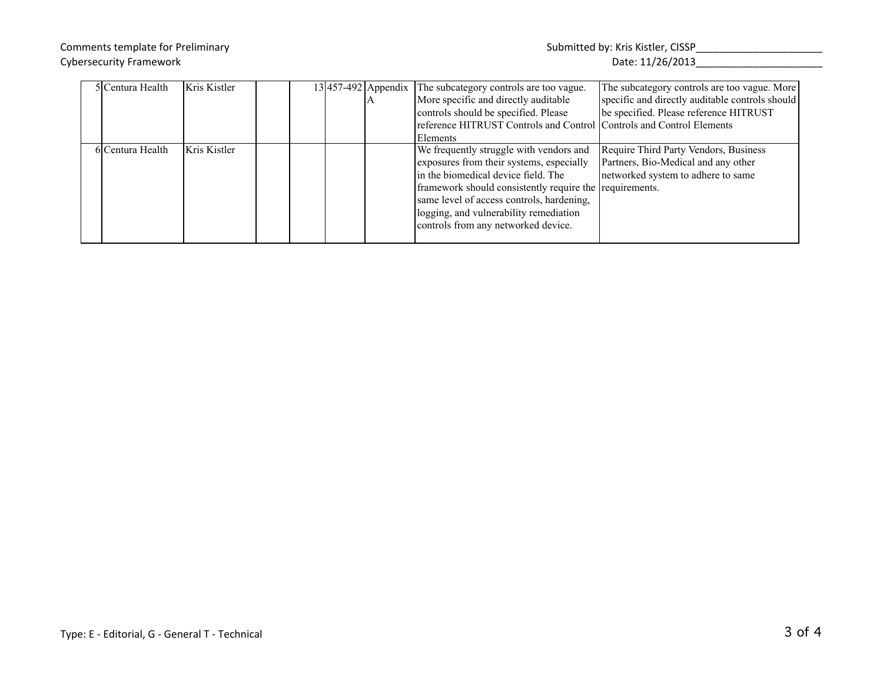| 5 Centura Health | Kris Kistler |  | 13 457-492 Appendix The subcategory controls are too vague.<br>More specific and directly auditable<br>controls should be specified. Please<br>reference HITRUST Controls and Control Controls and Control Elements<br>Elements                                                                                     | The subcategory controls are too vague. More<br>specific and directly auditable controls should<br>be specified. Please reference HITRUST |
|------------------|--------------|--|---------------------------------------------------------------------------------------------------------------------------------------------------------------------------------------------------------------------------------------------------------------------------------------------------------------------|-------------------------------------------------------------------------------------------------------------------------------------------|
| 6 Centura Health | Kris Kistler |  | We frequently struggle with vendors and<br>exposures from their systems, especially<br>in the biomedical device field. The<br>framework should consistently require the requirements.<br>same level of access controls, hardening,<br>logging, and vulnerability remediation<br>controls from any networked device. | Require Third Party Vendors, Business<br>Partners, Bio-Medical and any other<br>networked system to adhere to same                        |